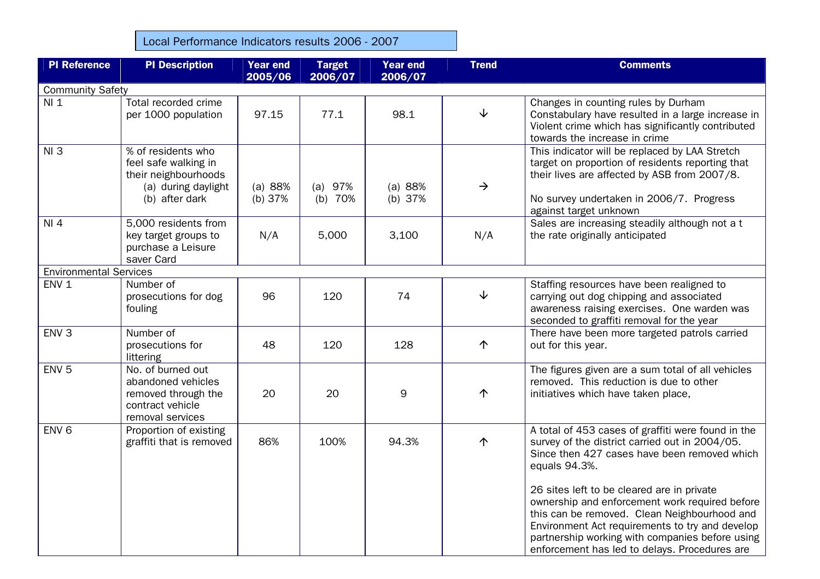Local Performance Indicators results 2006 - 2007

| <b>PI Reference</b>           | <b>PI Description</b>                                                                                       | <b>Year end</b><br>2005/06 | <b>Target</b><br>2006/07 | <b>Year end</b><br>2006/07 | <b>Trend</b>  | <b>Comments</b>                                                                                                                                                                                                                                                                                     |  |  |
|-------------------------------|-------------------------------------------------------------------------------------------------------------|----------------------------|--------------------------|----------------------------|---------------|-----------------------------------------------------------------------------------------------------------------------------------------------------------------------------------------------------------------------------------------------------------------------------------------------------|--|--|
| <b>Community Safety</b>       |                                                                                                             |                            |                          |                            |               |                                                                                                                                                                                                                                                                                                     |  |  |
| $NI_1$                        | Total recorded crime<br>per 1000 population                                                                 | 97.15                      | 77.1                     | 98.1                       | $\downarrow$  | Changes in counting rules by Durham<br>Constabulary have resulted in a large increase in<br>Violent crime which has significantly contributed<br>towards the increase in crime                                                                                                                      |  |  |
| NI3                           | % of residents who<br>feel safe walking in<br>their neighbourhoods<br>(a) during daylight<br>(b) after dark | (a) 88%<br>(b) 37%         | (a) 97%<br>(b) $70%$     | (a) 88%<br>(b) $37%$       | $\rightarrow$ | This indicator will be replaced by LAA Stretch<br>target on proportion of residents reporting that<br>their lives are affected by ASB from 2007/8.<br>No survey undertaken in 2006/7. Progress<br>against target unknown                                                                            |  |  |
| NI 4                          | 5,000 residents from<br>key target groups to<br>purchase a Leisure<br>saver Card                            | N/A                        | 5,000                    | 3,100                      | N/A           | Sales are increasing steadily although not a t<br>the rate originally anticipated                                                                                                                                                                                                                   |  |  |
| <b>Environmental Services</b> |                                                                                                             |                            |                          |                            |               |                                                                                                                                                                                                                                                                                                     |  |  |
| ENV <sub>1</sub>              | Number of<br>prosecutions for dog<br>fouling                                                                | 96                         | 120                      | 74                         | $\downarrow$  | Staffing resources have been realigned to<br>carrying out dog chipping and associated<br>awareness raising exercises. One warden was<br>seconded to graffiti removal for the year                                                                                                                   |  |  |
| ENV <sub>3</sub>              | Number of<br>prosecutions for<br>littering                                                                  | 48                         | 120                      | 128                        | 个             | There have been more targeted patrols carried<br>out for this year.                                                                                                                                                                                                                                 |  |  |
| ENV <sub>5</sub>              | No. of burned out<br>abandoned vehicles<br>removed through the<br>contract vehicle<br>removal services      | 20                         | 20                       | 9                          | 个             | The figures given are a sum total of all vehicles<br>removed. This reduction is due to other<br>initiatives which have taken place,                                                                                                                                                                 |  |  |
| ENV <sub>6</sub>              | Proportion of existing<br>graffiti that is removed                                                          | 86%                        | 100%                     | 94.3%                      | 个             | A total of 453 cases of graffiti were found in the<br>survey of the district carried out in 2004/05.<br>Since then 427 cases have been removed which<br>equals 94.3%.                                                                                                                               |  |  |
|                               |                                                                                                             |                            |                          |                            |               | 26 sites left to be cleared are in private<br>ownership and enforcement work required before<br>this can be removed. Clean Neighbourhood and<br>Environment Act requirements to try and develop<br>partnership working with companies before using<br>enforcement has led to delays. Procedures are |  |  |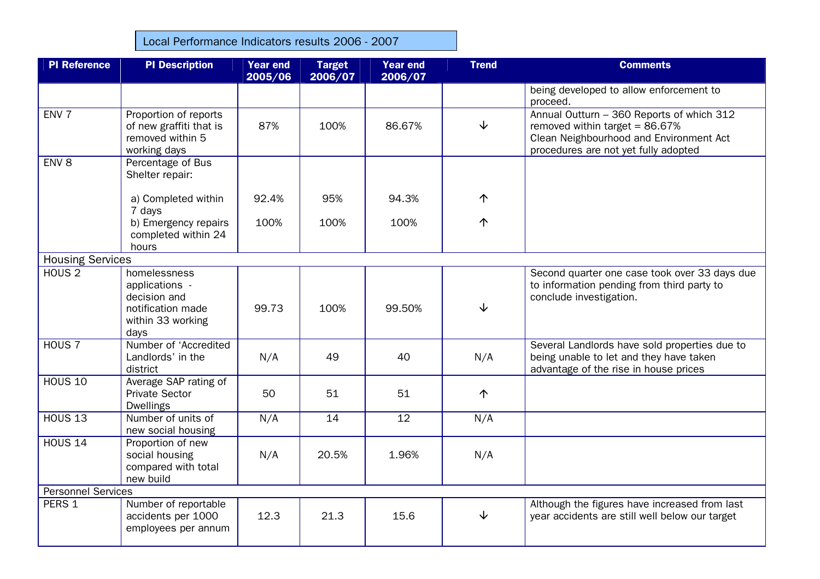Local Performance Indicators results 2006 - 2007

| <b>PI Reference</b>       | <b>PI Description</b>                                                                            | <b>Year end</b><br>2005/06 | <b>Target</b><br>2006/07 | <b>Year end</b><br>2006/07 | <b>Trend</b> | <b>Comments</b>                                                                                                                                                   |  |
|---------------------------|--------------------------------------------------------------------------------------------------|----------------------------|--------------------------|----------------------------|--------------|-------------------------------------------------------------------------------------------------------------------------------------------------------------------|--|
|                           |                                                                                                  |                            |                          |                            |              | being developed to allow enforcement to<br>proceed.                                                                                                               |  |
| ENV <sub>7</sub>          | Proportion of reports<br>of new graffiti that is<br>removed within 5<br>working days             | 87%                        | 100%                     | 86.67%                     | $\downarrow$ | Annual Outturn - 360 Reports of which 312<br>removed within target = $86.67\%$<br>Clean Neighbourhood and Environment Act<br>procedures are not yet fully adopted |  |
| ENV <sub>8</sub>          | Percentage of Bus<br>Shelter repair:                                                             |                            |                          |                            |              |                                                                                                                                                                   |  |
|                           | a) Completed within<br>7 days                                                                    | 92.4%                      | 95%                      | 94.3%                      | 个            |                                                                                                                                                                   |  |
|                           | b) Emergency repairs<br>completed within 24<br>hours                                             | 100%                       | 100%                     | 100%                       | $\uparrow$   |                                                                                                                                                                   |  |
| <b>Housing Services</b>   |                                                                                                  |                            |                          |                            |              |                                                                                                                                                                   |  |
| HOUS <sub>2</sub>         | homelessness<br>applications -<br>decision and<br>notification made<br>within 33 working<br>days | 99.73                      | 100%                     | 99.50%                     | $\downarrow$ | Second quarter one case took over 33 days due<br>to information pending from third party to<br>conclude investigation.                                            |  |
| HOUS <sub>7</sub>         | Number of 'Accredited<br>Landlords' in the<br>district                                           | N/A                        | 49                       | 40                         | N/A          | Several Landlords have sold properties due to<br>being unable to let and they have taken<br>advantage of the rise in house prices                                 |  |
| <b>HOUS 10</b>            | Average SAP rating of<br><b>Private Sector</b><br><b>Dwellings</b>                               | 50                         | 51                       | 51                         | 个            |                                                                                                                                                                   |  |
| <b>HOUS 13</b>            | Number of units of<br>new social housing                                                         | N/A                        | 14                       | 12                         | N/A          |                                                                                                                                                                   |  |
| <b>HOUS 14</b>            | Proportion of new<br>social housing<br>compared with total<br>new build                          | N/A                        | 20.5%                    | 1.96%                      | N/A          |                                                                                                                                                                   |  |
| <b>Personnel Services</b> |                                                                                                  |                            |                          |                            |              |                                                                                                                                                                   |  |
| PERS 1                    | Number of reportable<br>accidents per 1000<br>employees per annum                                | 12.3                       | 21.3                     | 15.6                       | $\downarrow$ | Although the figures have increased from last<br>year accidents are still well below our target                                                                   |  |